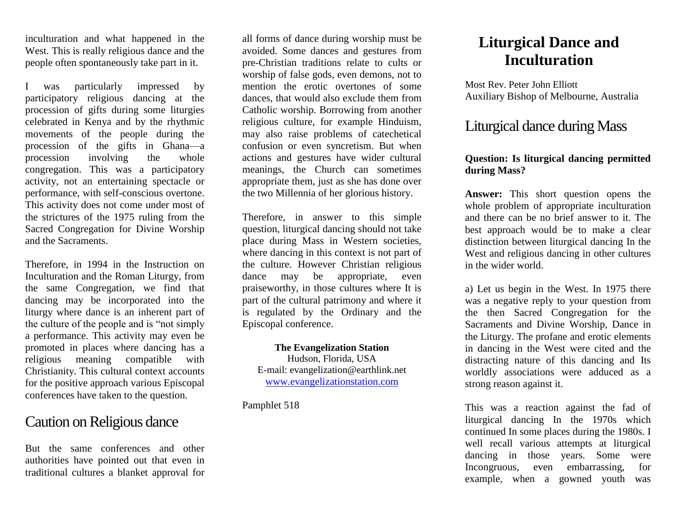inculturation and what happened in the West. This is really religious dance and the people often spontaneously take part in it.

I was particularly impressed by participatory religious dancing at the procession of gifts during some liturgies celebrated in Kenya and by the rhythmic movements of the people during the procession of the gifts in Ghana—a procession involving the whole congregation. This was a participatory activity, not an entertaining spectacle or performance, with self-conscious overtone. This activity does not come under most of the strictures of the 1975 ruling from the Sacred Congregation for Divine Worship and the Sacraments.

Therefore, in 1994 in the Instruction on Inculturation and the Roman Liturgy, from the same Congregation, we find that dancing may be incorporated into the liturgy where dance is an inherent part of the culture of the people and is "not simply a performance. This activity may even be promoted in places where dancing has a religious meaning compatible with Christianity. This cultural context accounts for the positive approach various Episcopal conferences have taken to the question.

## Caution on Religious dance

But the same conferences and other authorities have pointed out that even in traditional cultures a blanket approval for

all forms of dance during worship must be avoided. Some dances and gestures from pre-Christian traditions relate to cults or worship of false gods, even demons, not to mention the erotic overtones of some dances, that would also exclude them from Catholic worship. Borrowing from another religious culture, for example Hinduism, may also raise problems of catechetical confusion or even syncretism. But when actions and gestures have wider cultural meanings, the Church can sometimes appropriate them, just as she has done over the two Millennia of her glorious history.

Therefore, in answer to this simple question, liturgical dancing should not take place during Mass in Western societies, where dancing in this context is not part of the culture. However Christian religious dance may be appropriate, even praiseworthy, in those cultures where It is part of the cultural patrimony and where it is regulated by the Ordinary and the Episcopal conference.

#### **The Evangelization Station**

Hudson, Florida, USA E-mail: evangelization@earthlink.net [www.evangelizationstation.com](http://www.pjpiisoe.org/)

Pamphlet 518

# **Liturgical Dance and Inculturation**

Most Rev. Peter John Elliott Auxiliary Bishop of Melbourne, Australia

## Liturgical dance during Mass

### **Question: Is liturgical dancing permitted during Mass?**

**Answer:** This short question opens the whole problem of appropriate inculturation and there can be no brief answer to it. The best approach would be to make a clear distinction between liturgical dancing In the West and religious dancing in other cultures in the wider world.

a) Let us begin in the West. In 1975 there was a negative reply to your question from the then Sacred Congregation for the Sacraments and Divine Worship, Dance in the Liturgy. The profane and erotic elements in dancing in the West were cited and the distracting nature of this dancing and Its worldly associations were adduced as a strong reason against it.

This was a reaction against the fad of liturgical dancing In the 1970s which continued In some places during the 1980s. I well recall various attempts at liturgical dancing in those years. Some were Incongruous, even embarrassing, for example, when a gowned youth was